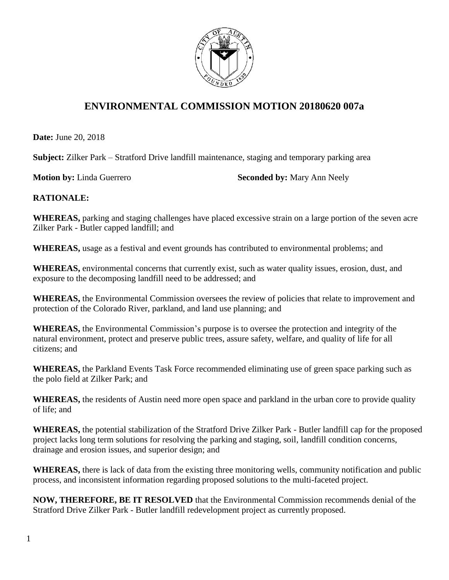

## **ENVIRONMENTAL COMMISSION MOTION 20180620 007a**

**Date:** June 20, 2018

**Subject:** Zilker Park – Stratford Drive landfill maintenance, staging and temporary parking area

**Motion by:** Linda Guerrero **Seconded by:** Mary Ann Neely

## **RATIONALE:**

**WHEREAS,** parking and staging challenges have placed excessive strain on a large portion of the seven acre Zilker Park - Butler capped landfill; and

**WHEREAS,** usage as a festival and event grounds has contributed to environmental problems; and

**WHEREAS,** environmental concerns that currently exist, such as water quality issues, erosion, dust, and exposure to the decomposing landfill need to be addressed; and

**WHEREAS,** the Environmental Commission oversees the review of policies that relate to improvement and protection of the Colorado River, parkland, and land use planning; and

**WHEREAS,** the Environmental Commission's purpose is to oversee the protection and integrity of the natural environment, protect and preserve public trees, assure safety, welfare, and quality of life for all citizens; and

**WHEREAS,** the Parkland Events Task Force recommended eliminating use of green space parking such as the polo field at Zilker Park; and

**WHEREAS,** the residents of Austin need more open space and parkland in the urban core to provide quality of life; and

**WHEREAS,** the potential stabilization of the Stratford Drive Zilker Park - Butler landfill cap for the proposed project lacks long term solutions for resolving the parking and staging, soil, landfill condition concerns, drainage and erosion issues, and superior design; and

**WHEREAS,** there is lack of data from the existing three monitoring wells, community notification and public process, and inconsistent information regarding proposed solutions to the multi-faceted project.

**NOW, THEREFORE, BE IT RESOLVED** that the Environmental Commission recommends denial of the Stratford Drive Zilker Park - Butler landfill redevelopment project as currently proposed.